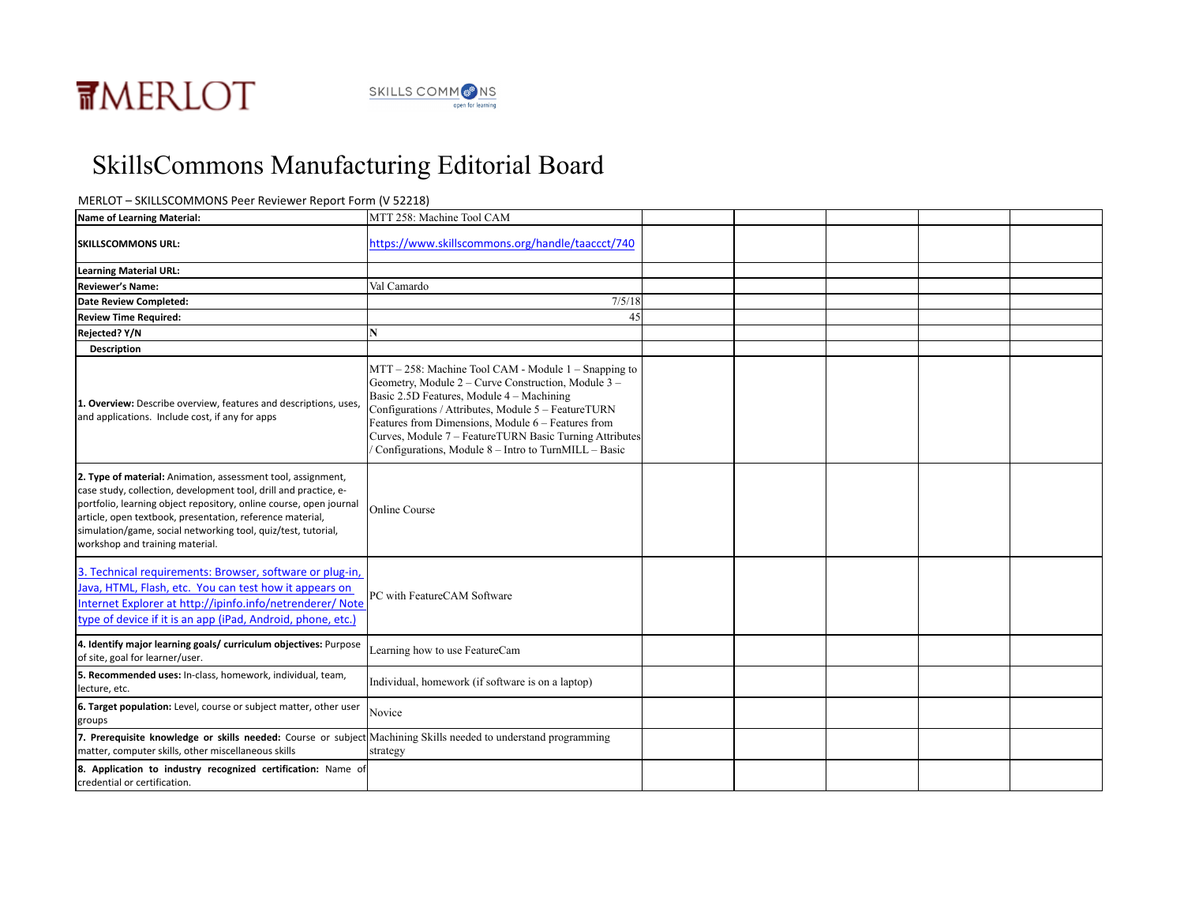

## SkillsCommons Manufacturing Editorial Board

## MERLOT - SKILLSCOMMONS Peer Reviewer Report Form (V 52218)

| Name of Learning Material:                                                                                                                                                                                                                                                                                                                                              | MTT 258: Machine Tool CAM                                                                                                                                                                                                                                                                                                                                                                |  |  |  |
|-------------------------------------------------------------------------------------------------------------------------------------------------------------------------------------------------------------------------------------------------------------------------------------------------------------------------------------------------------------------------|------------------------------------------------------------------------------------------------------------------------------------------------------------------------------------------------------------------------------------------------------------------------------------------------------------------------------------------------------------------------------------------|--|--|--|
| <b>SKILLSCOMMONS URL:</b>                                                                                                                                                                                                                                                                                                                                               | https://www.skillscommons.org/handle/taaccct/740                                                                                                                                                                                                                                                                                                                                         |  |  |  |
| <b>Learning Material URL:</b>                                                                                                                                                                                                                                                                                                                                           |                                                                                                                                                                                                                                                                                                                                                                                          |  |  |  |
| <b>Reviewer's Name:</b>                                                                                                                                                                                                                                                                                                                                                 | Val Camardo                                                                                                                                                                                                                                                                                                                                                                              |  |  |  |
| <b>Date Review Completed:</b>                                                                                                                                                                                                                                                                                                                                           | 7/5/18                                                                                                                                                                                                                                                                                                                                                                                   |  |  |  |
| <b>Review Time Required:</b>                                                                                                                                                                                                                                                                                                                                            | 45                                                                                                                                                                                                                                                                                                                                                                                       |  |  |  |
| <b>Rejected? Y/N</b>                                                                                                                                                                                                                                                                                                                                                    |                                                                                                                                                                                                                                                                                                                                                                                          |  |  |  |
| Description                                                                                                                                                                                                                                                                                                                                                             |                                                                                                                                                                                                                                                                                                                                                                                          |  |  |  |
| 1. Overview: Describe overview, features and descriptions, uses,<br>and applications. Include cost, if any for apps                                                                                                                                                                                                                                                     | MTT – 258: Machine Tool CAM - Module 1 – Snapping to<br>Geometry, Module 2 – Curve Construction, Module 3 –<br>Basic 2.5D Features, Module 4 – Machining<br>Configurations / Attributes, Module 5 - FeatureTURN<br>Features from Dimensions, Module 6 - Features from<br>Curves, Module 7 - FeatureTURN Basic Turning Attributes<br>Configurations, Module 8 – Intro to TurnMILL – Basic |  |  |  |
| 2. Type of material: Animation, assessment tool, assignment,<br>case study, collection, development tool, drill and practice, e-<br>portfolio, learning object repository, online course, open journal<br>article, open textbook, presentation, reference material,<br>simulation/game, social networking tool, quiz/test, tutorial,<br>workshop and training material. | Online Course                                                                                                                                                                                                                                                                                                                                                                            |  |  |  |
| 3. Technical requirements: Browser, software or plug-in,<br>Java, HTML, Flash, etc. You can test how it appears on<br>Internet Explorer at http://ipinfo.info/netrenderer/ Note<br>type of device if it is an app (iPad, Android, phone, etc.)                                                                                                                          | PC with FeatureCAM Software                                                                                                                                                                                                                                                                                                                                                              |  |  |  |
| 4. Identify major learning goals/ curriculum objectives: Purpose<br>of site, goal for learner/user.                                                                                                                                                                                                                                                                     | Learning how to use FeatureCam                                                                                                                                                                                                                                                                                                                                                           |  |  |  |
| 5. Recommended uses: In-class, homework, individual, team,<br>lecture, etc.                                                                                                                                                                                                                                                                                             | Individual, homework (if software is on a laptop)                                                                                                                                                                                                                                                                                                                                        |  |  |  |
| 6. Target population: Level, course or subject matter, other user<br>groups                                                                                                                                                                                                                                                                                             | Novice                                                                                                                                                                                                                                                                                                                                                                                   |  |  |  |
| 7. Prerequisite knowledge or skills needed: Course or subject Machining Skills needed to understand programming<br>matter, computer skills, other miscellaneous skills                                                                                                                                                                                                  | strategy                                                                                                                                                                                                                                                                                                                                                                                 |  |  |  |
| 8. Application to industry recognized certification: Name of<br>credential or certification.                                                                                                                                                                                                                                                                            |                                                                                                                                                                                                                                                                                                                                                                                          |  |  |  |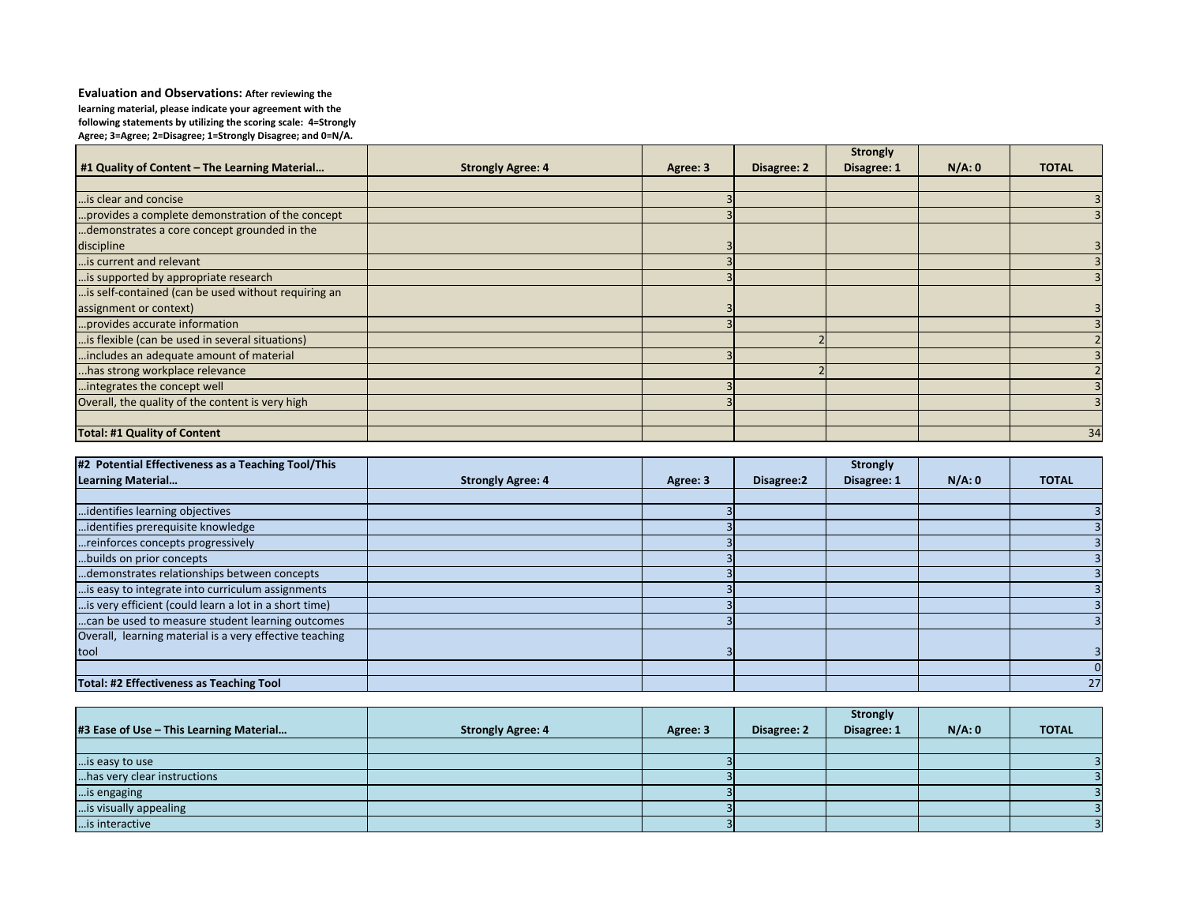**Evaluation and Observations: After reviewing the** learning material, please indicate your agreement with the following statements by utilizing the scoring scale: 4=Strongly Agree; 3=Agree; 2=Disagree; 1=Strongly Disagree; and 0=N/A.

|                                                     |                          |          |             | <b>Strongly</b> |       |              |
|-----------------------------------------------------|--------------------------|----------|-------------|-----------------|-------|--------------|
| $\#1$ Quality of Content – The Learning Material    | <b>Strongly Agree: 4</b> | Agree: 3 | Disagree: 2 | Disagree: 1     | N/A:0 | <b>TOTAL</b> |
|                                                     |                          |          |             |                 |       |              |
| is clear and concise                                |                          |          |             |                 |       |              |
| provides a complete demonstration of the concept    |                          |          |             |                 |       |              |
| demonstrates a core concept grounded in the         |                          |          |             |                 |       |              |
| discipline                                          |                          |          |             |                 |       |              |
| is current and relevant                             |                          |          |             |                 |       |              |
| is supported by appropriate research                |                          |          |             |                 |       |              |
| is self-contained (can be used without requiring an |                          |          |             |                 |       |              |
| assignment or context)                              |                          |          |             |                 |       |              |
| provides accurate information                       |                          |          |             |                 |       |              |
| is flexible (can be used in several situations)     |                          |          |             |                 |       |              |
| includes an adequate amount of material             |                          |          |             |                 |       |              |
| has strong workplace relevance                      |                          |          |             |                 |       |              |
| integrates the concept well                         |                          |          |             |                 |       |              |
| Overall, the quality of the content is very high    |                          |          |             |                 |       |              |
|                                                     |                          |          |             |                 |       |              |
| Total: #1 Quality of Content                        |                          |          |             |                 |       | 34           |

| #2 Potential Effectiveness as a Teaching Tool/This      |                          |          |            | <b>Strongly</b> |       |              |
|---------------------------------------------------------|--------------------------|----------|------------|-----------------|-------|--------------|
| Learning Material                                       | <b>Strongly Agree: 4</b> | Agree: 3 | Disagree:2 | Disagree: 1     | N/A:0 | <b>TOTAL</b> |
|                                                         |                          |          |            |                 |       |              |
| identifies learning objectives                          |                          |          |            |                 |       |              |
| identifies prerequisite knowledge                       |                          |          |            |                 |       |              |
| reinforces concepts progressively                       |                          |          |            |                 |       |              |
| builds on prior concepts                                |                          |          |            |                 |       |              |
| demonstrates relationships between concepts             |                          |          |            |                 |       |              |
| is easy to integrate into curriculum assignments        |                          |          |            |                 |       |              |
| is very efficient (could learn a lot in a short time)   |                          |          |            |                 |       |              |
| can be used to measure student learning outcomes        |                          |          |            |                 |       |              |
| Overall, learning material is a very effective teaching |                          |          |            |                 |       |              |
| tool                                                    |                          |          |            |                 |       |              |
|                                                         |                          |          |            |                 |       |              |
| Total: #2 Effectiveness as Teaching Tool                |                          |          |            |                 |       | 27           |

|                                            |                          |          |             | <b>Strongly</b> |       |              |
|--------------------------------------------|--------------------------|----------|-------------|-----------------|-------|--------------|
| $\#3$ Ease of Use – This Learning Material | <b>Strongly Agree: 4</b> | Agree: 3 | Disagree: 2 | Disagree: 1     | N/A:0 | <b>TOTAL</b> |
|                                            |                          |          |             |                 |       |              |
| is easy to use                             |                          |          |             |                 |       |              |
| has very clear instructions                |                          |          |             |                 |       |              |
| is engaging                                |                          |          |             |                 |       |              |
| [is visually appealing                     |                          |          |             |                 |       |              |
| is interactive                             |                          |          |             |                 |       |              |